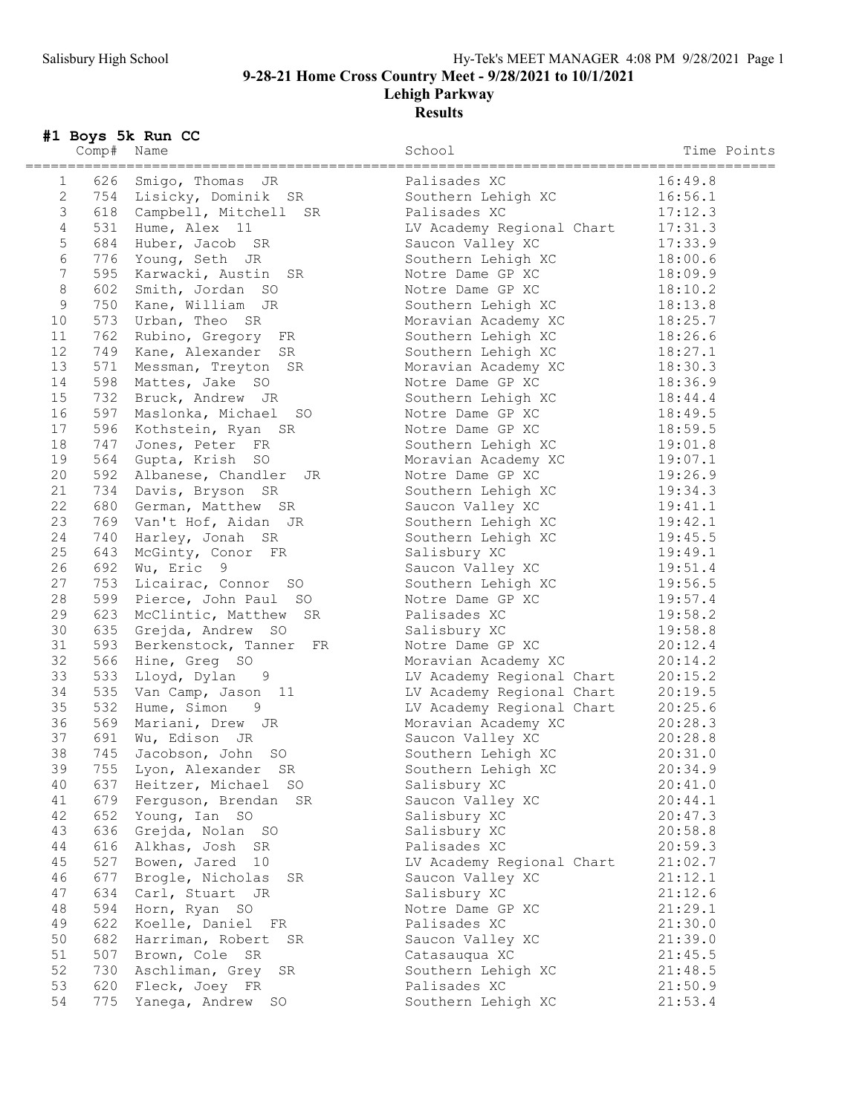## Lehigh Parkway Results

## #1 Boys 5k Run CC

|                | Comp# | Name                                               | School                                        | Time Points                |
|----------------|-------|----------------------------------------------------|-----------------------------------------------|----------------------------|
| 1              | 626   | ------------------------------<br>Smigo, Thomas JR | =============================<br>Palisades XC | ===============<br>16:49.8 |
| $\mathbf{2}$   |       | 754 Lisicky, Dominik SR                            | Southern Lehigh XC                            | 16:56.1                    |
| $\mathfrak{Z}$ |       | 618 Campbell, Mitchell SR                          | Palisades XC                                  | 17:12.3                    |
| $\overline{4}$ |       | 531 Hume, Alex 11                                  | LV Academy Regional Chart                     | 17:31.3                    |
| 5              |       | 684 Huber, Jacob SR                                |                                               | 17:33.9                    |
| $\sqrt{6}$     |       |                                                    | Saucon Valley XC                              |                            |
|                |       | 776 Young, Seth JR                                 | Southern Lehigh XC                            | 18:00.6                    |
| $\overline{7}$ | 595   | Karwacki, Austin SR                                | Notre Dame GP XC                              | 18:09.9                    |
| $\,8\,$        | 602   | Smith, Jordan SO                                   | Notre Dame GP XC                              | 18:10.2                    |
| $\overline{9}$ |       | 750 Kane, William JR                               | Southern Lehigh XC                            | 18:13.8                    |
| 10             | 573   | Urban, Theo SR                                     | Moravian Academy XC                           | 18:25.7                    |
| 11             | 762   | Rubino, Gregory FR                                 | Southern Lehigh XC                            | 18:26.6                    |
| 12             | 749   | Kane, Alexander SR                                 | Southern Lehigh XC                            | 18:27.1                    |
| 13             | 571   | Messman, Treyton SR                                | Moravian Academy XC                           | 18:30.3                    |
| 14             | 598   | Mattes, Jake SO                                    | Notre Dame GP XC                              | 18:36.9                    |
| 15             | 732   | Bruck, Andrew JR                                   | Southern Lehigh XC                            | 18:44.4                    |
| 16             |       | 597 Maslonka, Michael SO                           | Notre Dame GP XC                              | 18:49.5                    |
| 17             |       | 596 Kothstein, Ryan SR                             | Notre Dame GP XC                              | 18:59.5                    |
| 18             | 747   | Jones, Peter FR                                    | Southern Lehigh XC                            | 19:01.8                    |
| 19             | 564   | Gupta, Krish SO                                    | Moravian Academy XC                           | 19:07.1                    |
| 20             | 592   | Albanese, Chandler<br>JR                           | Notre Dame GP XC                              | 19:26.9                    |
| 21             |       | 734 Davis, Bryson SR                               | Southern Lehigh XC                            | 19:34.3                    |
| 22             |       | 680 German, Matthew SR                             | Saucon Valley XC                              | 19:41.1                    |
| 23             |       | 769 Van't Hof, Aidan JR                            | Southern Lehigh XC                            | 19:42.1                    |
| 24             | 740   | Harley, Jonah SR                                   | Southern Lehigh XC                            | 19:45.5                    |
| 25             | 643   | McGinty, Conor FR                                  | Salisbury XC                                  | 19:49.1                    |
| 26             | 692   | Wu, Eric 9                                         | Saucon Valley XC                              | 19:51.4                    |
| 27             | 753   |                                                    | Southern Lehigh XC                            | 19:56.5                    |
| 28             |       | Licairac, Connor SO<br>599 Pierce, John Paul SO    |                                               |                            |
| 29             |       |                                                    | Notre Dame GP XC                              | 19:57.4                    |
|                | 623   | McClintic, Matthew SR                              | Palisades XC                                  | 19:58.2                    |
| 30             | 635   | Grejda, Andrew SO                                  | Salisbury XC                                  | 19:58.8                    |
| 31             | 593   | Berkenstock, Tanner<br>FR                          | Notre Dame GP XC                              | 20:12.4                    |
| 32             | 566   | Hine, Greg SO                                      | Moravian Academy XC                           | 20:14.2                    |
| 33             | 533   | Lloyd, Dylan<br>9                                  | LV Academy Regional Chart                     | 20:15.2                    |
| 34             | 535   | Van Camp, Jason 11                                 | LV Academy Regional Chart                     | 20:19.5                    |
| 35             | 532   | Hume, Simon 9                                      | LV Academy Regional Chart                     | 20:25.6                    |
| 36             |       | 569 Mariani, Drew JR                               | Moravian Academy XC                           | 20:28.3                    |
| 37             | 691   | Wu, Edison JR                                      | Saucon Valley XC                              | 20:28.8                    |
| 38             | 745   | Jacobson, John SO                                  | Southern Lehigh XC                            | 20:31.0                    |
| 39             | 755   | Lyon, Alexander<br>SR                              | Southern Lehigh XC                            | 20:34.9                    |
| 40             | 637   | Heitzer, Michael SO                                | Salisbury XC                                  | 20:41.0                    |
| 41             | 679   | Ferguson, Brendan SR                               | Saucon Valley XC                              | 20:44.1                    |
| 42             | 652   | Young, Ian SO                                      | Salisbury XC                                  | 20:47.3                    |
| 43             | 636   | Grejda, Nolan SO                                   | Salisbury XC                                  | 20:58.8                    |
| 44             | 616   | Alkhas, Josh SR                                    | Palisades XC                                  | 20:59.3                    |
| 45             | 527   | Bowen, Jared 10                                    | LV Academy Regional Chart                     | 21:02.7                    |
| 46             | 677   | Brogle, Nicholas<br>SR                             | Saucon Valley XC                              | 21:12.1                    |
| 47             | 634   | Carl, Stuart JR                                    | Salisbury XC                                  | 21:12.6                    |
| 48             | 594   | Horn, Ryan SO                                      | Notre Dame GP XC                              | 21:29.1                    |
| 49             | 622   | Koelle, Daniel FR                                  | Palisades XC                                  | 21:30.0                    |
| 50             | 682   | Harriman, Robert SR                                | Saucon Valley XC                              | 21:39.0                    |
| 51             | 507   | Brown, Cole SR                                     | Catasauqua XC                                 | 21:45.5                    |
| 52             | 730   | Aschliman, Grey SR                                 | Southern Lehigh XC                            | 21:48.5                    |
| 53             | 620   | Fleck, Joey FR                                     | Palisades XC                                  | 21:50.9                    |
| 54             | 775   |                                                    |                                               |                            |
|                |       | Yanega, Andrew SO                                  | Southern Lehigh XC                            | 21:53.4                    |